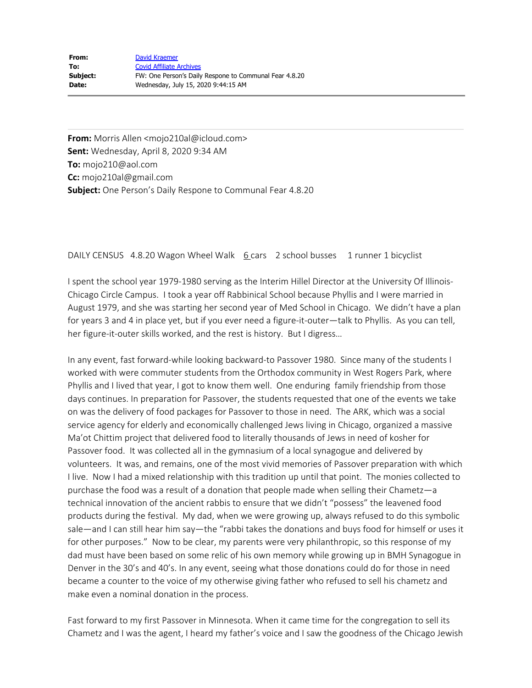**From:** Morris Allen <mojo210al@icloud.com> **Sent:** Wednesday, April 8, 2020 9:34 AM **To:** mojo210@aol.com **Cc:** mojo210al@gmail.com **Subject:** One Person's Daily Respone to Communal Fear 4.8.20

## DAILY CENSUS 4.8.20 Wagon Wheel Walk 6 cars 2 school busses 1 runner 1 bicyclist

I spent the school year 1979-1980 serving as the Interim Hillel Director at the University Of Illinois-Chicago Circle Campus. I took a year off Rabbinical School because Phyllis and I were married in August 1979, and she was starting her second year of Med School in Chicago. We didn't have a plan for years 3 and 4 in place yet, but if you ever need a figure-it-outer—talk to Phyllis. As you can tell, her figure-it-outer skills worked, and the rest is history. But I digress…

In any event, fast forward-while looking backward-to Passover 1980. Since many of the students I worked with were commuter students from the Orthodox community in West Rogers Park, where Phyllis and I lived that year, I got to know them well. One enduring family friendship from those days continues. In preparation for Passover, the students requested that one of the events we take on was the delivery of food packages for Passover to those in need. The ARK, which was a social service agency for elderly and economically challenged Jews living in Chicago, organized a massive Ma'ot Chittim project that delivered food to literally thousands of Jews in need of kosher for Passover food. It was collected all in the gymnasium of a local synagogue and delivered by volunteers. It was, and remains, one of the most vivid memories of Passover preparation with which I live. Now I had a mixed relationship with this tradition up until that point. The monies collected to purchase the food was a result of a donation that people made when selling their Chametz—a technical innovation of the ancient rabbis to ensure that we didn't "possess" the leavened food products during the festival. My dad, when we were growing up, always refused to do this symbolic sale—and I can still hear him say—the "rabbi takes the donations and buys food for himself or uses it for other purposes." Now to be clear, my parents were very philanthropic, so this response of my dad must have been based on some relic of his own memory while growing up in BMH Synagogue in Denver in the 30's and 40's. In any event, seeing what those donations could do for those in need became a counter to the voice of my otherwise giving father who refused to sell his chametz and make even a nominal donation in the process.

Fast forward to my first Passover in Minnesota. When it came time for the congregation to sell its Chametz and I was the agent, I heard my father's voice and I saw the goodness of the Chicago Jewish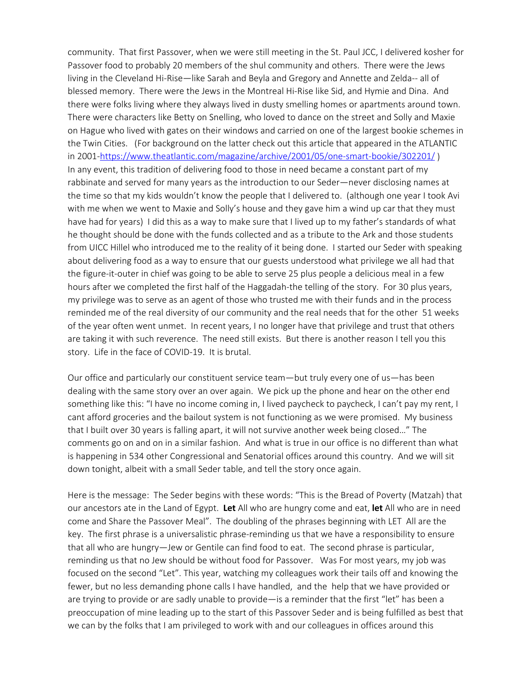community. That first Passover, when we were still meeting in the St. Paul JCC, I delivered kosher for Passover food to probably 20 members of the shul community and others. There were the Jews living in the Cleveland Hi-Rise—like Sarah and Beyla and Gregory and Annette and Zelda-- all of blessed memory. There were the Jews in the Montreal Hi-Rise like Sid, and Hymie and Dina. And there were folks living where they always lived in dusty smelling homes or apartments around town. There were characters like Betty on Snelling, who loved to dance on the street and Solly and Maxie on Hague who lived with gates on their windows and carried on one of the largest bookie schemes in the Twin Cities. (For background on the latter check out this article that appeared in the ATLANTIC in 2001-https://www.theatlantic.com/magazine/archive/2001/05/one-smart-bookie/302201/) In any event, this tradition of delivering food to those in need became a constant part of my rabbinate and served for many years as the introduction to our Seder—never disclosing names at the time so that my kids wouldn't know the people that I delivered to. (although one year I took Avi with me when we went to Maxie and Solly's house and they gave him a wind up car that they must have had for years) I did this as a way to make sure that I lived up to my father's standards of what he thought should be done with the funds collected and as a tribute to the Ark and those students from UICC Hillel who introduced me to the reality of it being done. I started our Seder with speaking about delivering food as a way to ensure that our guests understood what privilege we all had that the figure-it-outer in chief was going to be able to serve 25 plus people a delicious meal in a few hours after we completed the first half of the Haggadah-the telling of the story. For 30 plus years, my privilege was to serve as an agent of those who trusted me with their funds and in the process reminded me of the real diversity of our community and the real needs that for the other 51 weeks of the year often went unmet. In recent years, I no longer have that privilege and trust that others are taking it with such reverence. The need still exists. But there is another reason I tell you this story. Life in the face of COVID-19. It is brutal.

Our office and particularly our constituent service team—but truly every one of us—has been dealing with the same story over an over again. We pick up the phone and hear on the other end something like this: "I have no income coming in, I lived paycheck to paycheck, I can't pay my rent, I cant afford groceries and the bailout system is not functioning as we were promised. My business that I built over 30 years is falling apart, it will not survive another week being closed…" The comments go on and on in a similar fashion. And what is true in our office is no different than what is happening in 534 other Congressional and Senatorial offices around this country. And we will sit down tonight, albeit with a small Seder table, and tell the story once again.

Here is the message: The Seder begins with these words: "This is the Bread of Poverty (Matzah) that our ancestors ate in the Land of Egypt. **Let** All who are hungry come and eat, **let** All who are in need come and Share the Passover Meal". The doubling of the phrases beginning with LET All are the key. The first phrase is a universalistic phrase-reminding us that we have a responsibility to ensure that all who are hungry—Jew or Gentile can find food to eat. The second phrase is particular, reminding us that no Jew should be without food for Passover. Was For most years, my job was focused on the second "Let". This year, watching my colleagues work their tails off and knowing the fewer, but no less demanding phone calls I have handled, and the help that we have provided or are trying to provide or are sadly unable to provide—is a reminder that the first "let" has been a preoccupation of mine leading up to the start of this Passover Seder and is being fulfilled as best that we can by the folks that I am privileged to work with and our colleagues in offices around this